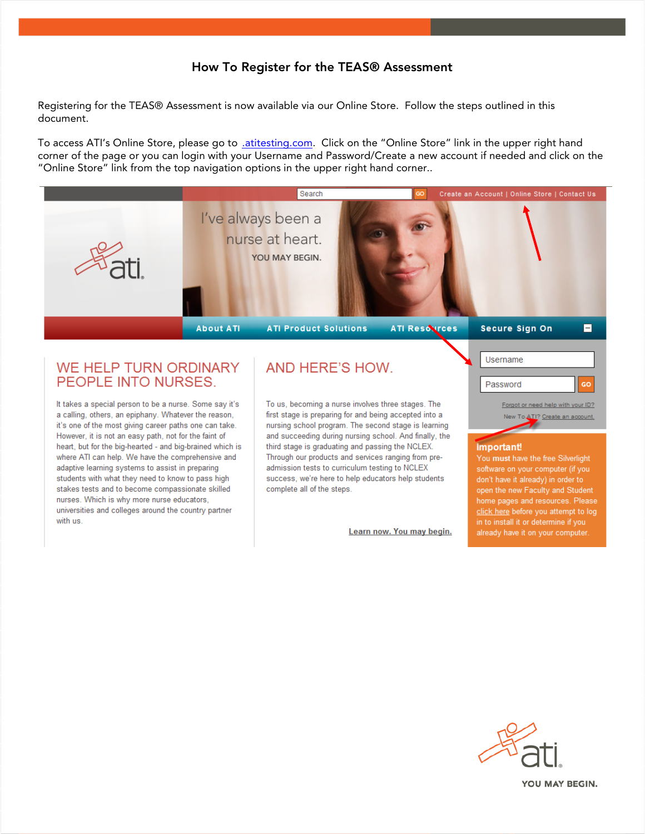## How To Register for the TEAS® Assessment

Registering for the TEAS® Assessment is now available via our Online Store. Follow the steps outlined in this document.

To access ATI's Online Store, please go to *atitesting.com*. Click on the "Online Store" link in the upper right hand corner of the page or you can login with your Username and Password/Create a new account if needed and click on the "Online Store" link from the top navigation options in the upper right hand corner..



## **WE HELP TURN ORDINARY** PEOPLE INTO NURSES.

It takes a special person to be a nurse. Some say it's a calling, others, an epiphany. Whatever the reason, it's one of the most giving career paths one can take. However, it is not an easy path, not for the faint of heart, but for the big-hearted - and big-brained which is where ATI can help. We have the comprehensive and adaptive learning systems to assist in preparing students with what they need to know to pass high stakes tests and to become compassionate skilled nurses. Which is why more nurse educators, universities and colleges around the country partner with us

# AND HERE'S HOW

To us, becoming a nurse involves three stages. The first stage is preparing for and being accepted into a nursing school program. The second stage is learning and succeeding during nursing school. And finally, the third stage is graduating and passing the NCLEX. Through our products and services ranging from preadmission tests to curriculum testing to NCLEX success, we're here to help educators help students complete all of the steps.

Learn now. You may begin.



### **Important!**

You must have the free Silverlight software on your computer (if you don't have it already) in order to open the new Faculty and Student home pages and resources. Please<br>click here before you attempt to log in to install it or determine if you already have it on your computer.

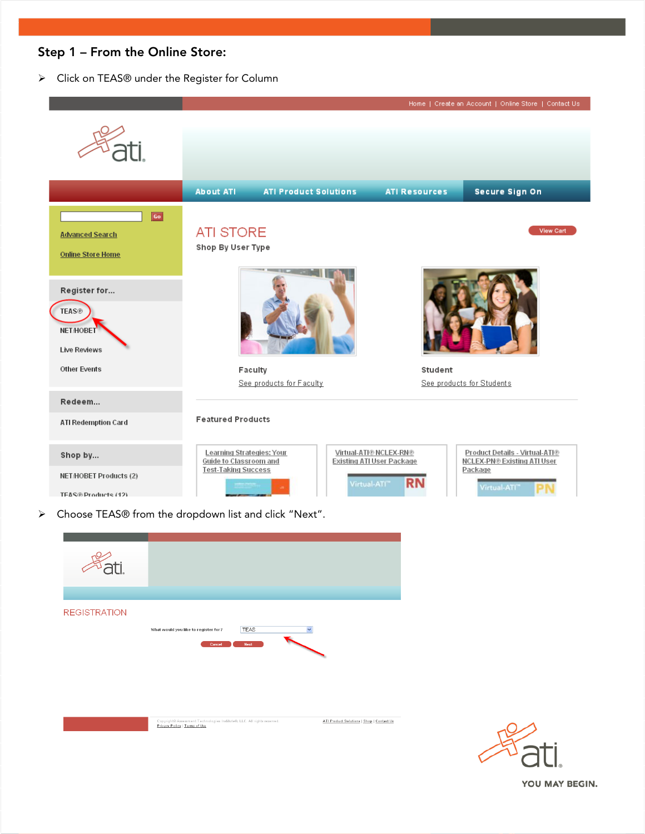## Step 1 – From the Online Store:

Click on TEAS® under the Register for Column



ATI Product Solutions | Shop | Contact Us

.<br>Copyright® Assessment Technologies Institute®, LLC. All rights reserved.<br><mark>Privacy Policy | Terms of Use</mark>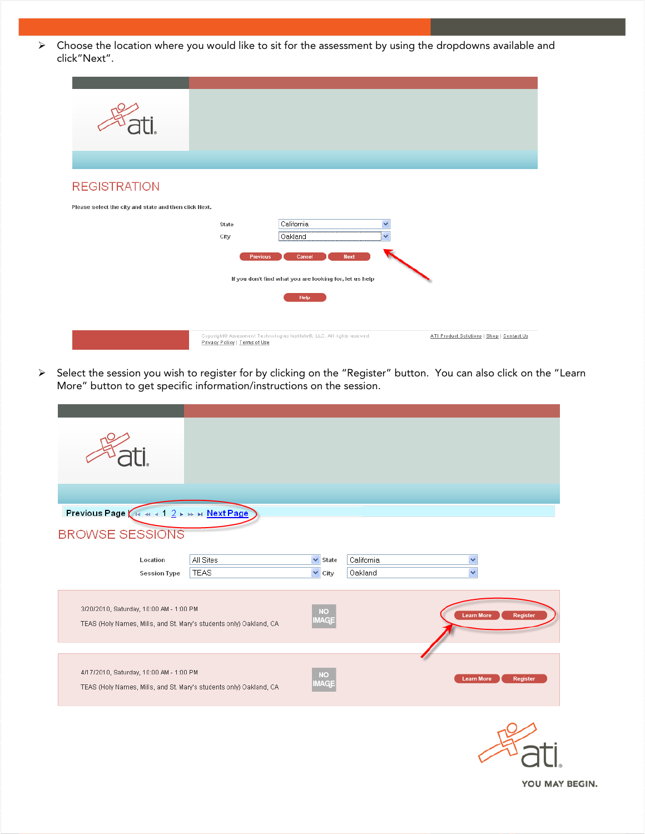$\triangleright$  Choose the location where you would like to sit for the assessment by using the dropdowns available and click"Next".

| <b>REGISTRATION</b>                                   |                               |                                                                                              |                                           |
|-------------------------------------------------------|-------------------------------|----------------------------------------------------------------------------------------------|-------------------------------------------|
| Please select the city and state and then click Next. |                               |                                                                                              |                                           |
|                                                       | State<br>City                 | California<br>v<br>Oakland<br>v                                                              |                                           |
|                                                       |                               | Cancel<br><b>Next</b><br>Previous<br>If you don't find what you are looking for, let us help |                                           |
|                                                       |                               | Help                                                                                         |                                           |
|                                                       | Privacy Policy   Terms of Use | Copyright® Assessment Technologies Institute®, LLC. All rights reserved.                     | ATI Product Solutions   Shop   Contact Us |

> Select the session you wish to register for by clicking on the "Register" button. You can also click on the "Learn More" button to get specific information/instructions on the session.

| Previous Page ( H + + + 1 2 + + + Next Page<br><b>BROWSE SESSIONS</b>                                         |                          |                                               |                       |                                         |
|---------------------------------------------------------------------------------------------------------------|--------------------------|-----------------------------------------------|-----------------------|-----------------------------------------|
| Location<br><b>Session Type</b>                                                                               | All Sites<br><b>TEAS</b> | $\checkmark$<br>State<br>$\checkmark$<br>City | California<br>Oakland | $\checkmark$<br>$\overline{\mathbf{v}}$ |
| 3/20/2010, Saturday, 10:00 AM - 1:00 PM<br>TEAS (Holy Names, Mills, and St. Mary's students only) Oakland, CA |                          | <b>NO</b><br>MAGE                             |                       | <b>Learn More</b><br>Register           |
| 4/17/2010, Saturday, 10:00 AM - 1:00 PM<br>TEAS (Holy Names, Mills, and St. Mary's students only) Oakland, CA |                          | <b>NO</b><br><b>MAG</b>                       |                       | <b>Learn More</b><br>Register           |

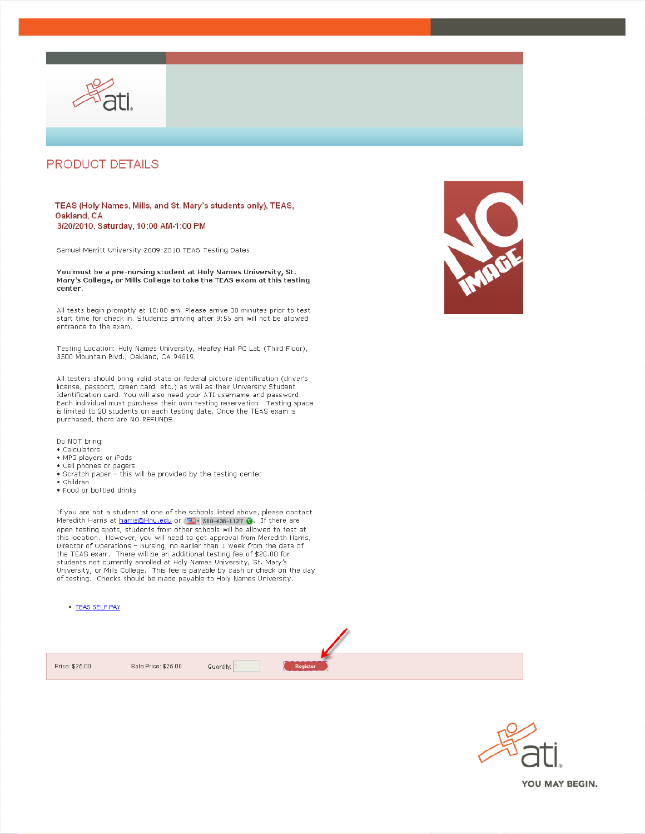

## **PRODUCT DETAILS**

#### TEAS (Holy Names, Mills, and St. Mary's students only), TEAS, Oakland, CA 3/20/2010, Saturday, 10:00 AM-1:00 PM

Samuel Merritt University 2009-2010 TEAS Testing Dates

You must be a pre-nursing student at Holy Names University, St. Mary's College, or Mills College to take the TEAS exam at this testing center.

All tests begin promptly at 10:00 am. Please arrive 30 minutes prior to test start time for check in. Students arriving after 9:55 am will not be allowed entrance to the exam.

Testing Location: Holy Names University, Heafey Hall PC Lab (Third Floor), 3500 Mountain Blvd., Oakland, CA 94619.

All testers should bring valid state or federal picture identification (driver's license, passport, green card, etc.) as well as their University Student Identification card. You will also need your ATI username and password. Each individual must purchase their own testing reservation. Testing space is limited to 20 students on each testing date. Once the TEAS exam is purchased, there are NO REFUNDS.

- Do NOT bring:
- $\bullet$  Calculators
- · MP3 players or iPods
- · Cell phones or pagers
- . Scratch paper this will be provided by the testing center
- · Children
- . Food or bottled drinks

If you are not a student at one of the schools listed above, please contact Meredith Harris at <u>harris@Hnu.edu</u> or <mark>est</mark> 510-436-1127 ● f there are open testing spots, students from other schools will be allowed to test at this location. However, you will need to get approval from Meredith Harris,<br>Director of Operations - Nursing, no earlier than 1 week from the date of<br>the TEAS exam. There will be an additional testing fee of \$20.00 for students not currently enrolled at Holy Names University, St. Mary's University, or Mills College. This fee is payable by cash or check on the day of testing. Checks should be made payable to Holy Names University.

• TEAS SELF PAY





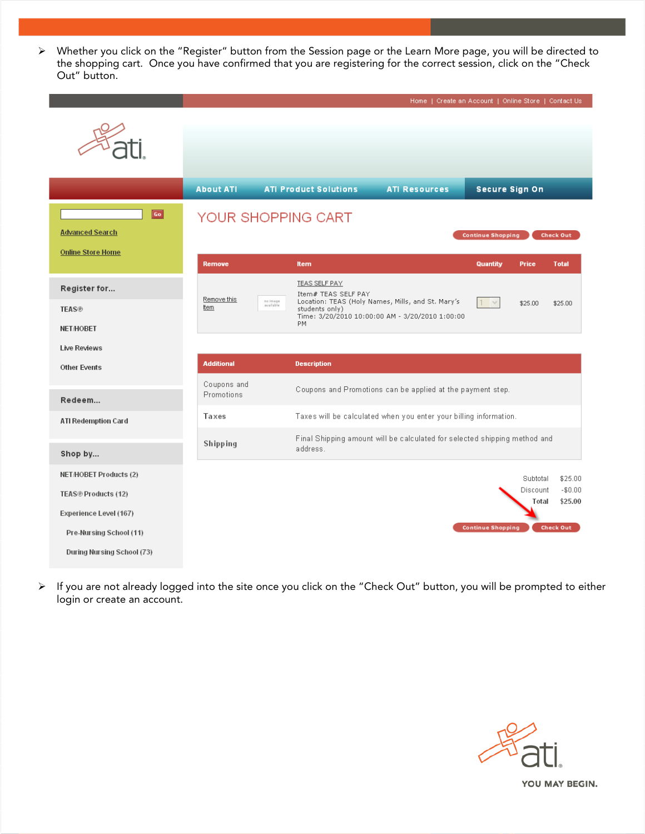Whether you click on the "Register" button from the Session page or the Learn More page, you will be directed to the shopping cart. Once you have confirmed that you are registering for the correct session, click on the "Check Out" button.

|                               |                                       |                                                                                                  | Home   Create an Account   Online Store   Contact Us |                          |                      |                     |
|-------------------------------|---------------------------------------|--------------------------------------------------------------------------------------------------|------------------------------------------------------|--------------------------|----------------------|---------------------|
|                               |                                       |                                                                                                  |                                                      |                          |                      |                     |
|                               |                                       |                                                                                                  |                                                      |                          |                      |                     |
|                               | <b>About ATI</b>                      | <b>ATI Product Solutions</b>                                                                     | <b>ATI Resources</b>                                 | <b>Secure Sign On</b>    |                      |                     |
| Go                            | YOUR SHOPPING CART                    |                                                                                                  |                                                      |                          |                      |                     |
| <b>Advanced Search</b>        | <b>Continue Shopping</b><br>Check Out |                                                                                                  |                                                      |                          |                      |                     |
| <b>Online Store Home</b>      |                                       |                                                                                                  |                                                      |                          |                      |                     |
|                               | <b>Remove</b>                         | <b>Item</b>                                                                                      |                                                      | <b>Quantity</b>          | <b>Price</b>         | <b>Total</b>        |
| Register for                  | Remove this<br>no image<br>available  | <b>TEAS SELF PAY</b><br>Item# TEAS SELF PAY<br>Location: TEAS (Holy Names, Mills, and St. Mary's |                                                      | $1 - v$                  | \$25.00              | \$25.00             |
| <b>TEAS®</b>                  | ttern                                 | students only)<br>Time: 3/20/2010 10:00:00 AM - 3/20/2010 1:00:00<br>PM                          |                                                      |                          |                      |                     |
| <b>NET/HOBET</b>              |                                       |                                                                                                  |                                                      |                          |                      |                     |
| Live Reviews                  | <b>Additional</b>                     | <b>Description</b>                                                                               |                                                      |                          |                      |                     |
| <b>Other Events</b>           | Coupons and                           |                                                                                                  |                                                      |                          |                      |                     |
| Redeem                        | Promotions                            | Coupons and Promotions can be applied at the payment step.                                       |                                                      |                          |                      |                     |
| <b>ATI Redemption Card</b>    | Taxes                                 | Taxes will be calculated when you enter your billing information.                                |                                                      |                          |                      |                     |
|                               | Shipping                              | Final Shipping amount will be calculated for selected shipping method and<br>address.            |                                                      |                          |                      |                     |
| Shop by                       |                                       |                                                                                                  |                                                      |                          |                      |                     |
| <b>NET/HOBET Products (2)</b> |                                       |                                                                                                  |                                                      |                          | Subtotal<br>Discount | \$25.00<br>$-$0.00$ |
| TEAS® Products (12)           |                                       |                                                                                                  |                                                      |                          | Total                | \$25.00             |
| Experience Level (167)        |                                       |                                                                                                  |                                                      | <b>Continue Shopping</b> |                      | Check Out           |
| Pre-Nursing School (11)       |                                       |                                                                                                  |                                                      |                          |                      |                     |
| During Nursing School (73)    |                                       |                                                                                                  |                                                      |                          |                      |                     |

> If you are not already logged into the site once you click on the "Check Out" button, you will be prompted to either login or create an account.

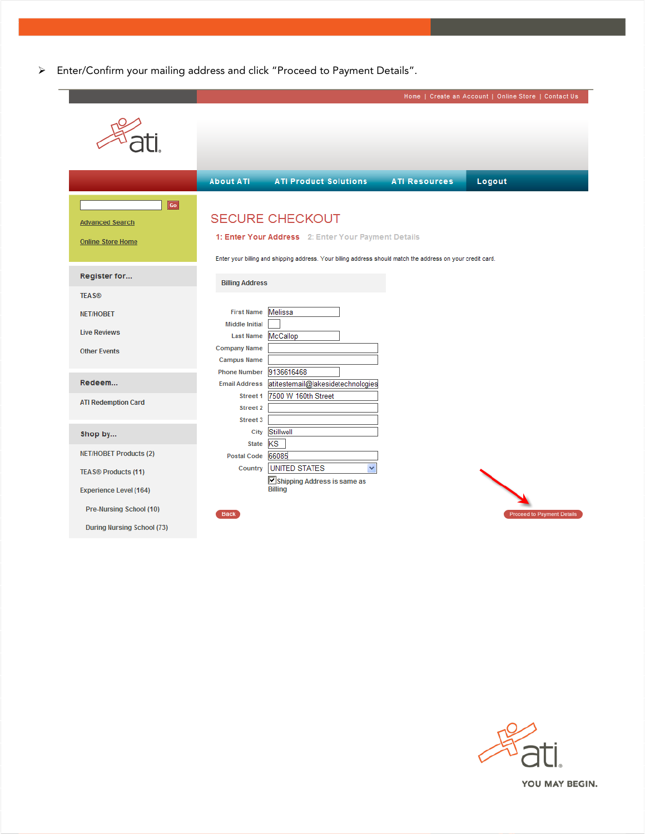Enter/Confirm your mailing address and click "Proceed to Payment Details".

|                                                          |                                             |                                                                                                                                                                                              |                      | Home   Create an Account   Online Store   Contact Us |
|----------------------------------------------------------|---------------------------------------------|----------------------------------------------------------------------------------------------------------------------------------------------------------------------------------------------|----------------------|------------------------------------------------------|
|                                                          |                                             |                                                                                                                                                                                              |                      |                                                      |
|                                                          | <b>About ATI</b>                            | <b>ATI Product Solutions</b>                                                                                                                                                                 | <b>ATI Resources</b> | Logout                                               |
| Go<br><b>Advanced Search</b><br><b>Online Store Home</b> |                                             | <b>SECURE CHECKOUT</b><br>1: Enter Your Address 2: Enter Your Payment Details<br>Enter your billing and shipping address. Your billing address should match the address on your credit card. |                      |                                                      |
| Register for                                             | <b>Billing Address</b>                      |                                                                                                                                                                                              |                      |                                                      |
| <b>TEAS®</b>                                             |                                             |                                                                                                                                                                                              |                      |                                                      |
| <b>NET/HOBET</b>                                         | <b>First Name</b>                           | Melissa                                                                                                                                                                                      |                      |                                                      |
| <b>Live Reviews</b>                                      | <b>Middle Initial</b><br><b>Last Name</b>   | McCallop                                                                                                                                                                                     |                      |                                                      |
| <b>Other Events</b>                                      | <b>Company Name</b><br><b>Campus Name</b>   |                                                                                                                                                                                              |                      |                                                      |
| Redeem                                                   | <b>Phone Number</b><br><b>Email Address</b> | 9136616468<br>atitestemail@lakesidetechnologies                                                                                                                                              |                      |                                                      |
| <b>ATI Redemption Card</b>                               | Street 1<br>Street 2<br>Street 3            | 7500 W 160th Street                                                                                                                                                                          |                      |                                                      |
| Shop by                                                  | City                                        | Stillwell                                                                                                                                                                                    |                      |                                                      |
| <b>NET/HOBET Products (2)</b>                            | <b>State</b><br><b>Postal Code</b>          | <b>KS</b><br>66085                                                                                                                                                                           |                      |                                                      |
| <b>TEAS® Products (11)</b>                               | Country                                     | <b>UNITED STATES</b><br>v                                                                                                                                                                    |                      |                                                      |
| <b>Experience Level (164)</b>                            |                                             | Shipping Address is same as<br><b>Billing</b>                                                                                                                                                |                      |                                                      |
| Pre-Nursing School (10)                                  | <b>Back</b>                                 |                                                                                                                                                                                              |                      | <b>Proceed to Payment Details</b>                    |
| <b>During Nursing School (73)</b>                        |                                             |                                                                                                                                                                                              |                      |                                                      |

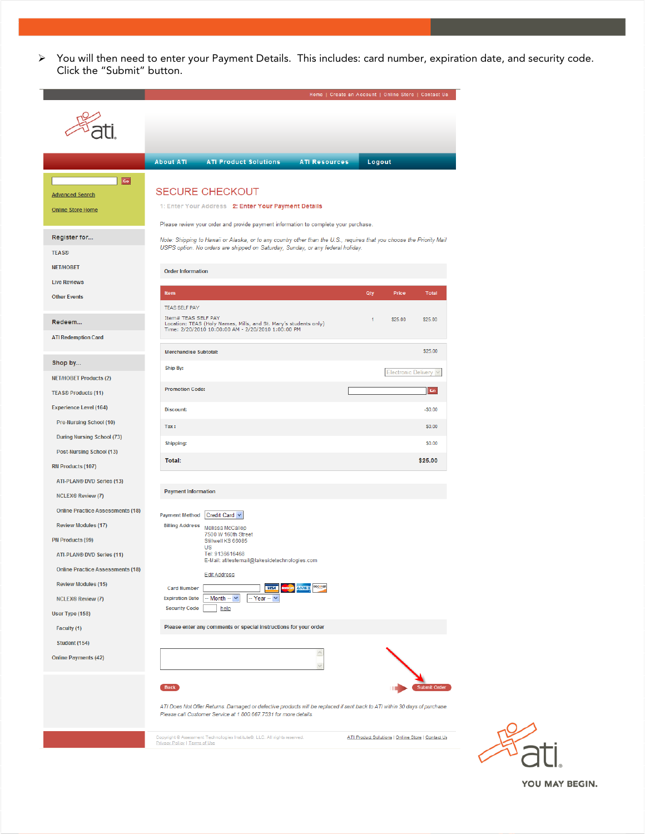You will then need to enter your Payment Details. This includes: card number, expiration date, and security code. Click the "Submit" button.